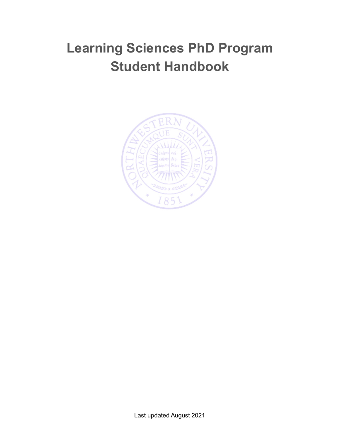# **Learning Sciences PhD Program Student Handbook**

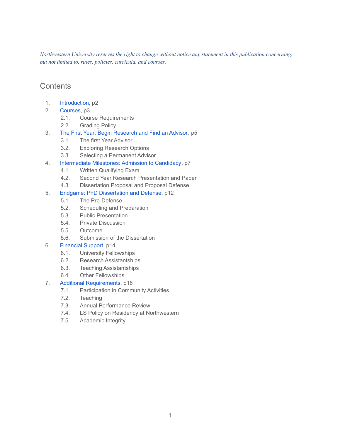*Northwestern University reserves the right to change without notice any statement in this publication concerning, but not limited to, rules, policies, curricula, and courses.*

### **Contents**

- 1. [Introduction](#page-2-0), p2
- 2. [Courses](#page-3-0), p3
	- 2.1. Course Requirements
	- 2.2. Grading Policy
- 3. The First Year: Begin [Research](#page-5-0) and Find an Advisor, p5
	- 3.1. The first Year Advisor
	- 3.2. Exploring Research Options
	- 3.3. Selecting a Permanent Advisor
- 4. [Intermediate](#page-7-0) Milestones: Admission to Candidacy, p7
	- 4.1. Written Qualifying Exam
	- 4.2. Second Year Research Presentation and Paper
	- 4.3. Dissertation Proposal and Proposal Defense
- 5. Endgame: PhD [Dissertation](#page-13-0) and Defense, p12
	- 5.1. The Pre-Defense
	- 5.2. Scheduling and Preparation
	- 5.3. Public Presentation
	- 5.4. Private Discussion
	- 5.5. Outcome
	- 5.6. Submission of the Dissertation

### 6. [Financial](#page-15-0) Support, p14

- 6.1. University Fellowships
- 6.2. Research Assistantships
- 6.3. Teaching Assistantships
- 6.4. Other Fellowships
- 7. Additional [Requirements,](#page-17-0) p16
	- 7.1. Participation in Community Activities
	- 7.2. Teaching
	- 7.3. Annual Performance Review
	- 7.4. LS Policy on Residency at Northwestern
	- 7.5. Academic Integrity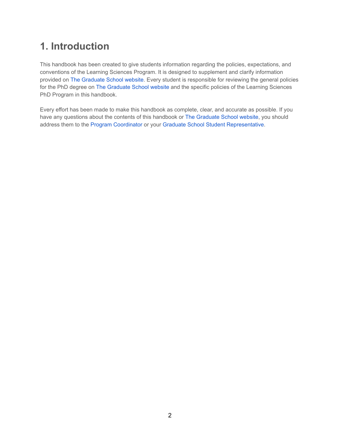## <span id="page-2-0"></span>**1. Introduction**

This handbook has been created to give students information regarding the policies, expectations, and conventions of the Learning Sciences Program. It is designed to supplement and clarify information provided on The [Graduate](http://www.tgs.northwestern.edu/) School website. Every student is responsible for reviewing the general policies for the PhD degree on The [Graduate](http://www.tgs.northwestern.edu/) School website and the specific policies of the Learning Sciences PhD Program in this handbook.

Every effort has been made to make this handbook as complete, clear, and accurate as possible. If you have any questions about the contents of this handbook or The [Graduate](http://www.tgs.northwestern.edu/) School website, you should address them to the Program [Coordinator](mailto:michael-horn@northwestern.edu) or your Graduate School Student [Representative](http://www.tgs.northwestern.edu/academics/academic-services/index.html).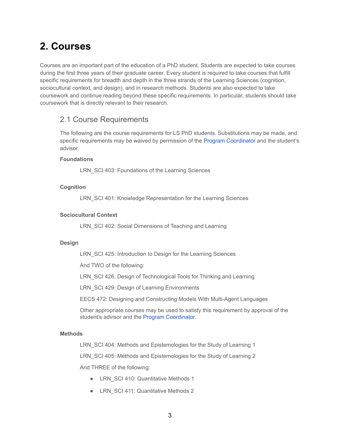## <span id="page-3-0"></span>**2. Courses**

Courses are an important part of the education of a PhD student. Students are expected to take courses during the first three years of their graduate career. Every student is required to take courses that fulfill specific requirements for breadth and depth in the three strands of the Learning Sciences (cognition, sociocultural context, and design), and in research methods. Students are also expected to take coursework and continue reading beyond these specific requirements. In particular, students should take coursework that is directly relevant to their research.

### 2.1 Course Requirements

The following are the course requirements for LS PhD students. Substitutions may be made, and specific requirements may be waived by permission of the Program [Coordinator](mailto:michael-horn@northwestern.edu) and the student's advisor.

### **Foundations**

LRN SCI 403: Foundations of the Learning Sciences

### **Cognition**

LRN SCI 401: Knowledge Representation for the Learning Sciences

### **Sociocultural Context**

LRN SCI 402: Social Dimensions of Teaching and Learning

#### **Design**

LRN SCI 425: Introduction to Design for the Learning Sciences

And TWO of the following:

LRN SCI 426: Design of Technological Tools for Thinking and Learning

LRN SCI 429: Design of Learning Environments

EECS 472: Designing and Constructing Models With Multi-Agent Languages

Other appropriate courses may be used to satisfy this requirement by approval of the student's advisor and the Program [Coordinator](mailto:michael-horn@northwestern.edu).

#### **Methods**

LRN SCI 404: Methods and Epistemologies for the Study of Learning 1

LRN SCI 405: Methods and Epistemologies for the Study of Learning 2

And THREE of the following:

- LRN SCI 410: Quantitative Methods 1
- LRN\_SCI 411: Quantitative Methods 2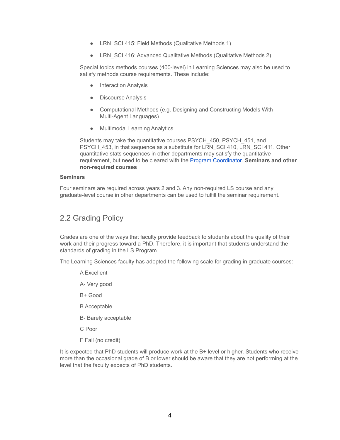- LRN SCI 415: Field Methods (Qualitative Methods 1)
- LRN SCI 416: Advanced Qualitative Methods (Qualitative Methods 2)

Special topics methods courses (400-level) in Learning Sciences may also be used to satisfy methods course requirements. These include:

- Interaction Analysis
- Discourse Analysis
- Computational Methods (e.g. Designing and Constructing Models With Multi-Agent Languages)
- Multimodal Learning Analytics.

Students may take the quantitative courses PSYCH\_450, PSYCH\_451, and PSYCH 453, in that sequence as a substitute for LRN SCI 410, LRN SCI 411. Other quantitative stats sequences in other departments may satisfy the quantitative requirement, but need to be cleared with the Program [Coordinator.](mailto:michael-horn@northwestern.edu) **Seminars and other non-required courses**

#### **Seminars**

Four seminars are required across years 2 and 3. Any non-required LS course and any graduate-level course in other departments can be used to fulfill the seminar requirement.

### 2.2 Grading Policy

Grades are one of the ways that faculty provide feedback to students about the quality of their work and their progress toward a PhD. Therefore, it is important that students understand the standards of grading in the LS Program.

The Learning Sciences faculty has adopted the following scale for grading in graduate courses:

- A Excellent
- A- Very good
- B+ Good
- B Acceptable
- B- Barely acceptable
- C Poor
- F Fail (no credit)

It is expected that PhD students will produce work at the B+ level or higher. Students who receive more than the occasional grade of B or lower should be aware that they are not performing at the level that the faculty expects of PhD students.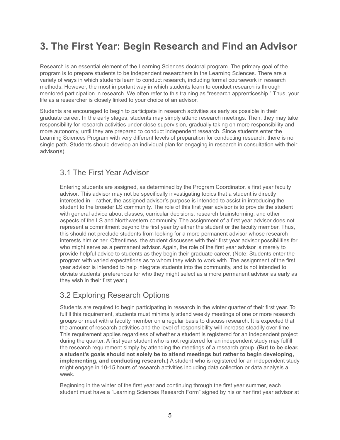## <span id="page-5-0"></span>**3. The First Year: Begin Research and Find an Advisor**

Research is an essential element of the Learning Sciences doctoral program. The primary goal of the program is to prepare students to be independent researchers in the Learning Sciences. There are a variety of ways in which students learn to conduct research, including formal coursework in research methods. However, the most important way in which students learn to conduct research is through mentored participation in research. We often refer to this training as "research apprenticeship." Thus, your life as a researcher is closely linked to your choice of an advisor.

Students are encouraged to begin to participate in research activities as early as possible in their graduate career. In the early stages, students may simply attend research meetings. Then, they may take responsibility for research activities under close supervision, gradually taking on more responsibility and more autonomy, until they are prepared to conduct independent research. Since students enter the Learning Sciences Program with very different levels of preparation for conducting research, there is no single path. Students should develop an individual plan for engaging in research in consultation with their advisor(s).

## 3.1 The First Year Advisor

Entering students are assigned, as determined by the Program Coordinator, a first year faculty advisor. This advisor may not be specifically investigating topics that a student is directly interested in – rather, the assigned advisor's purpose is intended to assist in introducing the student to the broader LS community. The role of this first year advisor is to provide the student with general advice about classes, curricular decisions, research brainstorming, and other aspects of the LS and Northwestern community. The assignment of a first year advisor does not represent a commitment beyond the first year by either the student or the faculty member. Thus, this should not preclude students from looking for a more permanent advisor whose research interests him or her. Oftentimes, the student discusses with their first year advisor possibilities for who might serve as a permanent advisor. Again, the role of the first year advisor is merely to provide helpful advice to students as they begin their graduate career. (Note: Students enter the program with varied expectations as to whom they wish to work with. The assignment of the first year advisor is intended to help integrate students into the community, and is not intended to obviate students' preferences for who they might select as a more permanent advisor as early as they wish in their first year.)

## 3.2 Exploring Research Options

Students are required to begin participating in research in the winter quarter of their first year. To fulfill this requirement, students must minimally attend weekly meetings of one or more research groups or meet with a faculty member on a regular basis to discuss research. It is expected that the amount of research activities and the level of responsibility will increase steadily over time. This requirement applies regardless of whether a student is registered for an independent project during the quarter. A first year student who is not registered for an independent study may fulfill the research requirement simply by attending the meetings of a research group. **(But to be clear, a student's goals should not solely be to attend meetings but rather to begin developing, implementing, and conducting research.)** A student who is registered for an independent study might engage in 10-15 hours of research activities including data collection or data analysis a week.

Beginning in the winter of the first year and continuing through the first year summer, each student must have a "Learning Sciences Research Form" signed by his or her first year advisor at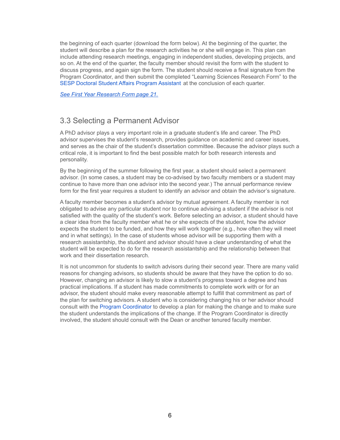the beginning of each quarter (download the form below). At the beginning of the quarter, the student will describe a plan for the research activities he or she will engage in. This plan can include attending research meetings, engaging in independent studies, developing projects, and so on. At the end of the quarter, the faculty member should revisit the form with the student to discuss progress, and again sign the form. The student should receive a final signature from the Program Coordinator, and then submit the completed "Learning Sciences Research Form" to the SESP Doctoral Student Affairs Program [Assistant](mailto:malarie.edwards@northwestern.edu) at the conclusion of each quarter.

*See First Year Research Form page 21.*

### 3.3 Selecting a Permanent Advisor

A PhD advisor plays a very important role in a graduate student's life and career. The PhD advisor supervises the student's research, provides guidance on academic and career issues, and serves as the chair of the student's dissertation committee. Because the advisor plays such a critical role, it is important to find the best possible match for both research interests and personality.

By the beginning of the summer following the first year, a student should select a permanent advisor. (In some cases, a student may be co-advised by two faculty members or a student may continue to have more than one advisor into the second year.) The annual performance review form for the first year requires a student to identify an advisor and obtain the advisor's signature.

A faculty member becomes a student's advisor by mutual agreement. A faculty member is not obligated to advise any particular student nor to continue advising a student if the advisor is not satisfied with the quality of the student's work. Before selecting an advisor, a student should have a clear idea from the faculty member what he or she expects of the student, how the advisor expects the student to be funded, and how they will work together (e.g., how often they will meet and in what settings). In the case of students whose advisor will be supporting them with a research assistantship, the student and advisor should have a clear understanding of what the student will be expected to do for the research assistantship and the relationship between that work and their dissertation research.

It is not uncommon for students to switch advisors during their second year. There are many valid reasons for changing advisors, so students should be aware that they have the option to do so. However, changing an advisor is likely to slow a student's progress toward a degree and has practical implications. If a student has made commitments to complete work with or for an advisor, the student should make every reasonable attempt to fulfill that commitment as part of the plan for switching advisors. A student who is considering changing his or her advisor should consult with the Program [Coordinator](mailto:michael-horn@northwestern.edu) to develop a plan for making the change and to make sure the student understands the implications of the change. If the Program Coordinator is directly involved, the student should consult with the Dean or another tenured faculty member.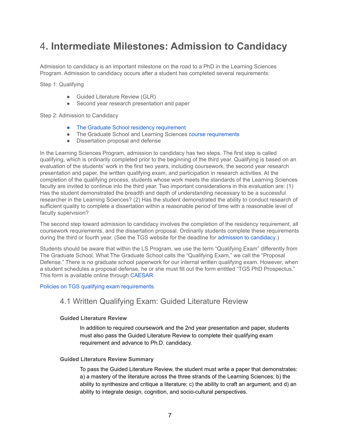## <span id="page-7-0"></span>4**. Intermediate Milestones: Admission to Candidacy**

Admission to candidacy is an important milestone on the road to a PhD in the Learning Sciences Program. Admission to candidacy occurs after a student has completed several requirements:

Step 1: Qualifying

- Guided Literature Review (GLR)
- Second year research presentation and paper

### Step 2: Admission to Candidacy

- The Graduate School residency [requirement](http://www.tgs.northwestern.edu/about/policies/phd-degree-requirements.html)
- The Graduate School and Learning Sciences course [requirements](https://www.sesp.northwestern.edu/learning-sciences/phd/degree-requirements.html)
- Dissertation proposal and defense

In the Learning Sciences Program, admission to candidacy has two steps. The first step is called qualifying, which is ordinarily completed prior to the beginning of the third year. Qualifying is based on an evaluation of the students' work in the first two years, including coursework, the second year research presentation and paper, the written qualifying exam, and participation in research activities. At the completion of the qualifying process, students whose work meets the standards of the Learning Sciences faculty are invited to continue into the third year. Two important considerations in this evaluation are: (1) Has the student demonstrated the breadth and depth of understanding necessary to be a successful researcher in the Learning Sciences? (2) Has the student demonstrated the ability to conduct research of sufficient quality to complete a dissertation within a reasonable period of time with a reasonable level of faculty supervision?

The second step toward admission to candidacy involves the completion of the residency requirement, all coursework requirements, and the dissertation proposal. Ordinarily students complete these requirements during the third or fourth year. (See the TGS website for the deadline for admission to [candidacy.](http://www.tgs.northwestern.edu/about/policies/phd-degree-requirements.html#candidacy))

Students should be aware that within the LS Program, we use the term "Qualifying Exam" differently from The Graduate School. What The Graduate School calls the "Qualifying Exam," we call the "Proposal Defense." There is no graduate school paperwork for our internal written qualifying exam. However, when a student schedules a proposal defense, he or she must fill out the form entitled "TGS PhD Prospectus." This form is available online through [CAESAR.](http://www.northwestern.edu/caesar/)

#### Policies on TGS qualifying exam [requirements.](http://www.tgs.northwestern.edu/academics/academic-services/phd/candidacy/)

### 4.1 Written Qualifying Exam: Guided Literature Review

### **Guided Literature Review**

In addition to required coursework and the 2nd year presentation and paper, students must also pass the Guided Literature Review to complete their qualifying exam requirement and advance to Ph.D. candidacy.

#### **Guided Literature Review Summary**

To pass the Guided Literature Review, the student must write a paper that demonstrates: a) a mastery of the literature across the three strands of the Learning Sciences; b) the ability to synthesize and critique a literature; c) the ability to craft an argument; and d) an ability to integrate design, cognition, and socio-cultural perspectives.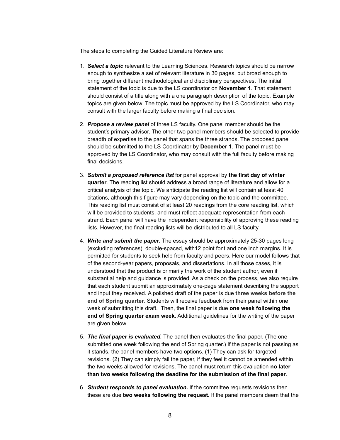The steps to completing the Guided Literature Review are:

- 1. *Select a topic* relevant to the Learning Sciences. Research topics should be narrow enough to synthesize a set of relevant literature in 30 pages, but broad enough to bring together different methodological and disciplinary perspectives. The initial statement of the topic is due to the LS coordinator on **November 1**. That statement should consist of a title along with a one paragraph description of the topic. Example topics are given below. The topic must be approved by the LS Coordinator, who may consult with the larger faculty before making a final decision.
- 2. *Propose a review panel* of three LS faculty. One panel member should be the student's primary advisor. The other two panel members should be selected to provide breadth of expertise to the panel that spans the three strands. The proposed panel should be submitted to the LS Coordinator by **December 1**. The panel must be approved by the LS Coordinator, who may consult with the full faculty before making final decisions.
- 3. *Submit a proposed reference list* for panel approval by **the first day of winter quarter**. The reading list should address a broad range of literature and allow for a critical analysis of the topic. We anticipate the reading list will contain at least 40 citations, although this figure may vary depending on the topic and the committee. This reading list must consist of at least 20 readings from the core reading list, which will be provided to students, and must reflect adequate representation from each strand. Each panel will have the independent responsibility of approving these reading lists. However, the final reading lists will be distributed to all LS faculty.
- 4. *Write and submit the paper.* The essay should be approximately 25-30 pages long (excluding references), double-spaced, with12 point font and one inch margins. It is permitted for students to seek help from faculty and peers. Here our model follows that of the second-year papers, proposals, and dissertations. In all those cases, it is understood that the product is primarily the work of the student author, even if substantial help and guidance is provided. As a check on the process, we also require that each student submit an approximately one-page statement describing the support and input they received. A polished draft of the paper is due **three weeks before the end of Spring quarter**. Students will receive feedback from their panel within one week of submitting this draft. Then, the final paper is due **one week following the end of Spring quarter exam week**. Additional guidelines for the writing of the paper are given below.
- 5. *The final paper is evaluated.* The panel then evaluates the final paper. (The one submitted one week following the end of Spring quarter.) If the paper is not passing as it stands, the panel members have two options. (1) They can ask for targeted revisions. (2) They can simply fail the paper, if they feel it cannot be amended within the two weeks allowed for revisions. The panel must return this evaluation **no later than two weeks following the deadline for the submission of the final paper**.
- 6. *Student responds to panel evaluation.* If the committee requests revisions then these are due **two weeks following the request.** If the panel members deem that the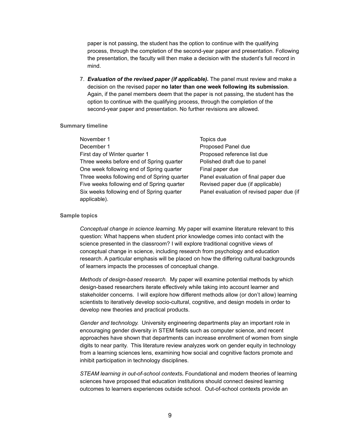paper is not passing, the student has the option to continue with the qualifying process, through the completion of the second-year paper and presentation. Following the presentation, the faculty will then make a decision with the student's full record in mind.

7. *Evaluation of the revised paper (if applicable).* The panel must review and make a decision on the revised paper **no later than one week following its submission**. Again, if the panel members deem that the paper is not passing, the student has the option to continue with the qualifying process, through the completion of the second-year paper and presentation. No further revisions are allowed.

#### **Summary timeline**

| November 1                                  | Topics due                                |
|---------------------------------------------|-------------------------------------------|
| December 1                                  | Proposed Panel due                        |
| First day of Winter quarter 1               | Proposed reference list due               |
| Three weeks before end of Spring quarter    | Polished draft due to panel               |
| One week following end of Spring quarter    | Final paper due                           |
| Three weeks following end of Spring quarter | Panel evaluation of final paper due       |
| Five weeks following end of Spring quarter  | Revised paper due (if applicable)         |
| Six weeks following end of Spring quarter   | Panel evaluation of revised paper due (if |
| applicable).                                |                                           |

#### **Sample topics**

*Conceptual change in science learning.* My paper will examine literature relevant to this question: What happens when student prior knowledge comes into contact with the science presented in the classroom? I will explore traditional cognitive views of conceptual change in science, including research from psychology and education research. A particular emphasis will be placed on how the differing cultural backgrounds of learners impacts the processes of conceptual change.

*Methods of design-based research.* My paper will examine potential methods by which design-based researchers iterate effectively while taking into account learner and stakeholder concerns. I will explore how different methods allow (or don't allow) learning scientists to iteratively develop socio-cultural, cognitive, and design models in order to develop new theories and practical products.

*Gender and technology.* University engineering departments play an important role in encouraging gender diversity in STEM fields such as computer science, and recent approaches have shown that departments can increase enrollment of women from single digits to near parity. This literature review analyzes work on gender equity in technology from a learning sciences lens, examining how social and cognitive factors promote and inhibit participation in technology disciplines.

*STEAM learning in out-of-school contexts***.** Foundational and modern theories of learning sciences have proposed that education institutions should connect desired learning outcomes to learners experiences outside school. Out-of-school contexts provide an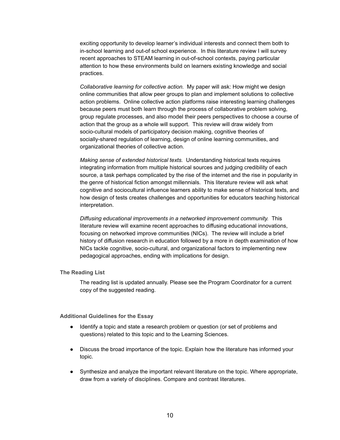exciting opportunity to develop learner's individual interests and connect them both to in-school learning and out-of school experience. In this literature review I will survey recent approaches to STEAM learning in out-of-school contexts, paying particular attention to how these environments build on learners existing knowledge and social practices.

*Collaborative learning for collective action.* My paper will ask: How might we design online communities that allow peer groups to plan and implement solutions to collective action problems. Online collective action platforms raise interesting learning challenges because peers must both learn through the process of collaborative problem solving, group regulate processes, and also model their peers perspectives to choose a course of action that the group as a whole will support. This review will draw widely from socio-cultural models of participatory decision making, cognitive theories of socially-shared regulation of learning, design of online learning communities, and organizational theories of collective action.

*Making sense of extended historical texts.* Understanding historical texts requires integrating information from multiple historical sources and judging credibility of each source, a task perhaps complicated by the rise of the internet and the rise in popularity in the genre of historical fiction amongst millennials. This literature review will ask what cognitive and sociocultural influence learners ability to make sense of historical texts, and how design of tests creates challenges and opportunities for educators teaching historical interpretation.

*Diffusing educational improvements in a networked improvement community.* This literature review will examine recent approaches to diffusing educational innovations, focusing on networked improve communities (NICs). The review will include a brief history of diffusion research in education followed by a more in depth examination of how NICs tackle cognitive, socio-cultural, and organizational factors to implementing new pedagogical approaches, ending with implications for design.

**The Reading List**

The reading list is updated annually. Please see the Program Coordinator for a current copy of the suggested reading.

**Additional Guidelines for the Essay**

- Identify a topic and state a research problem or question (or set of problems and questions) related to this topic and to the Learning Sciences.
- Discuss the broad importance of the topic. Explain how the literature has informed your topic.
- Synthesize and analyze the important relevant literature on the topic. Where appropriate, draw from a variety of disciplines. Compare and contrast literatures.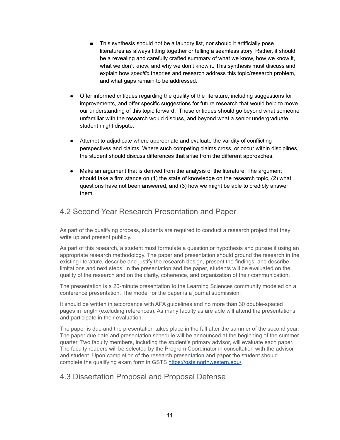- This synthesis should not be a laundry list, nor should it artificially pose literatures as always fitting together or telling a seamless story. Rather, it should be a revealing and carefully crafted summary of what we know, how we know it, what we don't know, and why we don't know it. This synthesis must discuss and explain how *specific* theories and research address this topic/research problem, and what gaps remain to be addressed.
- Offer informed critiques regarding the quality of the literature, including suggestions for improvements, and offer specific suggestions for future research that would help to move our understanding of this topic forward. These critiques should go beyond what someone unfamiliar with the research would discuss, and beyond what a senior undergraduate student might dispute.
- Attempt to adjudicate where appropriate and evaluate the validity of conflicting perspectives and claims. Where such competing claims cross, or occur within disciplines, the student should discuss differences that arise from the different approaches.
- Make an argument that is derived from the analysis of the literature. The argument should take a firm stance on (1) the state of knowledge on the research topic, (2) what questions have not been answered, and (3) how we might be able to credibly answer them.

## 4.2 Second Year Research Presentation and Paper

As part of the qualifying process, students are required to conduct a research project that they write up and present publicly.

As part of this research, a student must formulate a question or hypothesis and pursue it using an appropriate research methodology. The paper and presentation should ground the research in the existing literature, describe and justify the research design, present the findings, and describe limitations and next steps. In the presentation and the paper, students will be evaluated on the quality of the research and on the clarity, coherence, and organization of their communication.

The presentation is a 20-minute presentation to the Learning Sciences community modeled on a conference presentation. The model for the paper is a journal submission.

It should be written in accordance with APA guidelines and no more than 30 double-spaced pages in length (excluding references). As many faculty as are able will attend the presentations and participate in their evaluation.

The paper is due and the presentation takes place in the fall after the summer of the second year. The paper due date and presentation schedule will be announced at the beginning of the summer quarter. Two faculty members, including the student's primary advisor, will evaluate each paper. The faculty readers will be selected by the Program Coordinator in consultation with the advisor and student. Upon completion of the research presentation and paper the student should complete the qualifying exam form in GSTS [https://gsts.northwestern.edu/.](https://gsts.northwestern.edu/)

### 4.3 Dissertation Proposal and Proposal Defense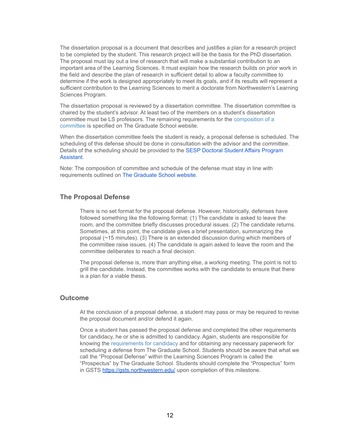The dissertation proposal is a document that describes and justifies a plan for a research project to be completed by the student. This research project will be the basis for the PhD dissertation. The proposal must lay out a line of research that will make a substantial contribution to an important area of the Learning Sciences. It must explain how the research builds on prior work in the field and describe the plan of research in sufficient detail to allow a faculty committee to determine if the work is designed appropriately to meet its goals, and if its results will represent a sufficient contribution to the Learning Sciences to merit a doctorate from Northwestern's Learning Sciences Program.

The dissertation proposal is reviewed by a dissertation committee. The dissertation committee is chaired by the student's advisor. At least two of the members on a student's dissertation committee must be LS professors. The remaining requirements for the [composition](http://www.tgs.northwestern.edu/academics/academic-services/phd/degree-completion/index.html) of a [committee](http://www.tgs.northwestern.edu/academics/academic-services/phd/degree-completion/index.html) is specified on The Graduate School website.

When the dissertation committee feels the student is ready, a proposal defense is scheduled. The scheduling of this defense should be done in consultation with the advisor and the committee. Details of the scheduling should be provided to the SESP Doctoral Student Affairs [Program](mailto:malarie.edwards@northwestern.edu) [Assistant.](mailto:malarie.edwards@northwestern.edu)

Note: The composition of committee and schedule of the defense must stay in line with requirements outlined on The [Graduate](http://www.tgs.northwestern.edu/academics/academic-services/phd/degree-completion/index.html) School website.

### **The Proposal Defense**

There is no set format for the proposal defense. However, historically, defenses have followed something like the following format: (1) The candidate is asked to leave the room, and the committee briefly discusses procedural issues. (2) The candidate returns. Sometimes, at this point, the candidate gives a brief presentation, summarizing the proposal (~15 minutes). (3) There is an extended discussion during which members of the committee raise issues. (4) The candidate is again asked to leave the room and the committee deliberates to reach a final decision.

The proposal defense is, more than anything else, a working meeting. The point is not to grill the candidate. Instead, the committee works with the candidate to ensure that there is a plan for a viable thesis.

### **Outcome**

At the conclusion of a proposal defense, a student may pass or may be required to revise the proposal document and/or defend it again.

Once a student has passed the proposal defense and completed the other requirements for candidacy, he or she is admitted to candidacy. Again, students are responsible for knowing the [requirements](http://www.tgs.northwestern.edu/about/policies/phd-degree-requirements.html#candidacy) for candidacy and for obtaining any necessary paperwork for scheduling a defense from The Graduate School. Students should be aware that what we call the "Proposal Defense" within the Learning Sciences Program is called the "Prospectus" by The Graduate School. Students should complete the "Prospectus" form in GSTS <https://gsts.northwestern.edu/> upon completion of this milestone.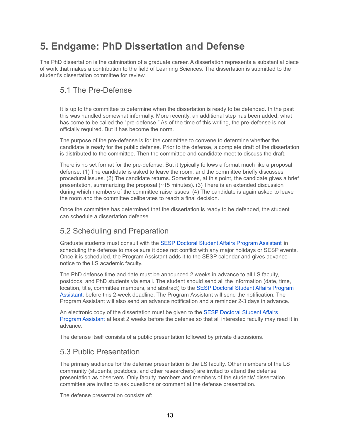## <span id="page-13-0"></span>**5. Endgame: PhD Dissertation and Defense**

The PhD dissertation is the culmination of a graduate career. A dissertation represents a substantial piece of work that makes a contribution to the field of Learning Sciences. The dissertation is submitted to the student's dissertation committee for review.

## 5.1 The Pre-Defense

It is up to the committee to determine when the dissertation is ready to be defended. In the past this was handled somewhat informally. More recently, an additional step has been added, what has come to be called the "pre-defense." As of the time of this writing, the pre-defense is not officially required. But it has become the norm.

The purpose of the pre-defense is for the committee to convene to determine whether the candidate is ready for the public defense. Prior to the defense, a complete draft of the dissertation is distributed to the committee. Then the committee and candidate meet to discuss the draft.

There is no set format for the pre-defense. But it typically follows a format much like a proposal defense: (1) The candidate is asked to leave the room, and the committee briefly discusses procedural issues. (2) The candidate returns. Sometimes, at this point, the candidate gives a brief presentation, summarizing the proposal  $(\sim 15$  minutes). (3) There is an extended discussion during which members of the committee raise issues. (4) The candidate is again asked to leave the room and the committee deliberates to reach a final decision.

Once the committee has determined that the dissertation is ready to be defended, the student can schedule a dissertation defense.

## 5.2 Scheduling and Preparation

Graduate students must consult with the SESP Doctoral Student Affairs Program [Assistant](mailto:malarie.edwards@northwestern.edu) in scheduling the defense to make sure it does not conflict with any major holidays or SESP events. Once it is scheduled, the Program Assistant adds it to the SESP calendar and gives advance notice to the LS academic faculty.

The PhD defense time and date must be announced 2 weeks in advance to all LS faculty, postdocs, and PhD students via email. The student should send all the information (date, time, location, title, committee members, and abstract) to the SESP Doctoral Student Affairs [Program](mailto:malarie.edwards@northwestern.edu) [Assistant,](mailto:malarie.edwards@northwestern.edu) before this 2-week deadline. The Program Assistant will send the notification. The Program Assistant will also send an advance notification and a reminder 2-3 days in advance.

An electronic copy of the dissertation must be given to the SESP [Doctoral](mailto:malarie.edwards@northwestern.edu) Student Affairs Program [Assistant](mailto:malarie.edwards@northwestern.edu) at least 2 weeks before the defense so that all interested faculty may read it in advance.

The defense itself consists of a public presentation followed by private discussions.

### 5.3 Public Presentation

The primary audience for the defense presentation is the LS faculty. Other members of the LS community (students, postdocs, and other researchers) are invited to attend the defense presentation as observers. Only faculty members and members of the students' dissertation committee are invited to ask questions or comment at the defense presentation.

The defense presentation consists of: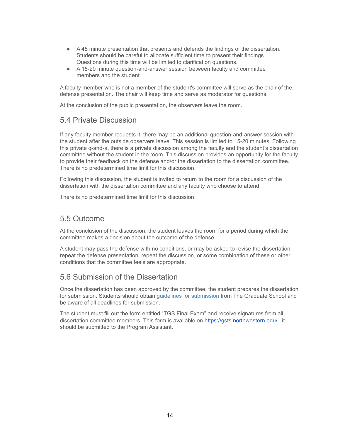- A 45 minute presentation that presents and defends the findings of the dissertation. Students should be careful to allocate sufficient time to present their findings. Questions during this time will be limited to clarification questions.
- A 15-20 minute question-and-answer session between faculty and committee members and the student.

A faculty member who is not a member of the student's committee will serve as the chair of the defense presentation. The chair will keep time and serve as moderator for questions.

At the conclusion of the public presentation, the observers leave the room.

### 5.4 Private Discussion

If any faculty member requests it, there may be an additional question-and-answer session with the student after the outside observers leave. This session is limited to 15-20 minutes. Following this private q-and-a, there is a private discussion among the faculty and the student's dissertation committee without the student in the room. This discussion provides an opportunity for the faculty to provide their feedback on the defense and/or the dissertation to the dissertation committee. There is no predetermined time limit for this discussion.

Following this discussion, the student is invited to return to the room for a discussion of the dissertation with the dissertation committee and any faculty who choose to attend.

There is no predetermined time limit for this discussion.

### 5.5 Outcome

At the conclusion of the discussion, the student leaves the room for a period during which the committee makes a decision about the outcome of the defense.

A student may pass the defense with no conditions, or may be asked to revise the dissertation, repeat the defense presentation, repeat the discussion, or some combination of these or other conditions that the committee feels are appropriate.

### 5.6 Submission of the Dissertation

Once the dissertation has been approved by the committee, the student prepares the dissertation for submission. Students should obtain guidelines for [submission](http://www.tgs.northwestern.edu/academics/academic-services/phd/degree-completion/index.html) from The Graduate School and be aware of all deadlines for submission.

The student must fill out the form entitled "TGS Final Exam" and receive signatures from all dissertation committee members. This form is available on <https://gsts.northwestern.edu/> it should be submitted to the Program Assistant.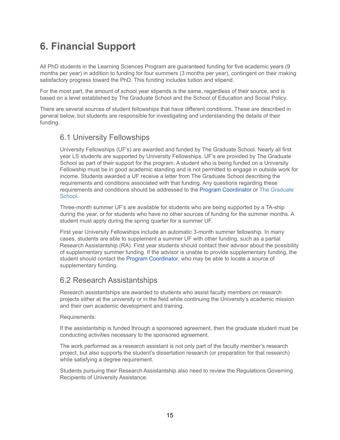## <span id="page-15-0"></span>**6. Financial Support**

All PhD students in the Learning Sciences Program are guaranteed funding for five academic years (9 months per year) in addition to funding for four summers (3 months per year), contingent on their making satisfactory progress toward the PhD. This funding includes tuition and stipend.

For the most part, the amount of school year stipends is the same, regardless of their source, and is based on a level established by The Graduate School and the School of Education and Social Policy.

There are several sources of student fellowships that have different conditions. These are described in general below, but students are responsible for investigating and understanding the details of their funding.

### 6.1 University Fellowships

University Fellowships (UF's) are awarded and funded by The Graduate School. Nearly all first year LS students are supported by University Fellowships. UF's are provided by The Graduate School as part of their support for the program. A student who is being funded on a University Fellowship must be in good academic standing and is not permitted to engage in outside work for income. Students awarded a UF receive a letter from The Graduate School describing the requirements and conditions associated with that funding. Any questions regarding these requirements and conditions should be addressed to the Program [Coordinator](mailto:michael-horn@northwestern.edu) or The [Graduate](http://www.tgs.northwestern.edu/academics/academic-services/index.html) [School.](http://www.tgs.northwestern.edu/academics/academic-services/index.html)

Three-month summer UF's are available for students who are being supported by a TA-ship during the year, or for students who have no other sources of funding for the summer months. A student must apply during the spring quarter for a summer UF.

First year University Fellowships include an automatic 3-month summer fellowship. In many cases, students are able to supplement a summer UF with other funding, such as a partial Research Assistantship (RA). First year students should contact their advisor about the possibility of supplementary summer funding. If the advisor is unable to provide supplementary funding, the student should contact the Program [Coordinator,](mailto:michael-horn@northwestern.edu) who may be able to locate a source of supplementary funding.

## 6.2 Research Assistantships

Research assistantships are awarded to students who assist faculty members on research projects either at the university or in the field while continuing the University's academic mission and their own academic development and training.

### Requirements:

If the assistantship is funded through a sponsored agreement, then the graduate student must be conducting activities necessary to the sponsored agreement.

The work performed as a research assistant is not only part of the faculty member's research project, but also supports the student's dissertation research (or preparation for that research) while satisfying a degree requirement.

Students pursuing their Research Assistantship also need to review the Regulations Governing Recipients of University Assistance.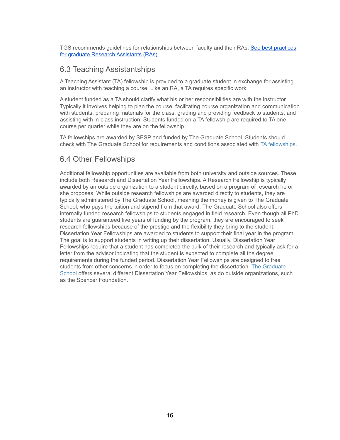TGS recommends guidelines for relationships between faculty and their RAs. See best [practices](https://www.tgs.northwestern.edu/funding/assistantships/research/best-practices.html) for graduate Research [Assistants](https://www.tgs.northwestern.edu/funding/assistantships/research/best-practices.html) (RAs).

## 6.3 Teaching Assistantships

A Teaching Assistant (TA) fellowship is provided to a graduate student in exchange for assisting an instructor with teaching a course. Like an RA, a TA requires specific work.

A student funded as a TA should clarify what his or her responsibilities are with the instructor. Typically it involves helping to plan the course, facilitating course organization and communication with students, preparing materials for the class, grading and providing feedback to students, and assisting with in-class instruction. Students funded on a TA fellowship are required to TA one course per quarter while they are on the fellowship.

TA fellowships are awarded by SESP and funded by The Graduate School. Students should check with The Graduate School for requirements and conditions associated with TA [fellowships.](http://www.tgs.northwestern.edu/funding/fellowships-and-grants/)

## 6.4 Other Fellowships

Additional fellowship opportunities are available from both university and outside sources. These include both Research and Dissertation Year Fellowships. A Research Fellowship is typically awarded by an outside organization to a student directly, based on a program of research he or she proposes. While outside research fellowships are awarded directly to students, they are typically administered by The Graduate School, meaning the money is given to The Graduate School, who pays the tuition and stipend from that award. The Graduate School also offers internally funded research fellowships to students engaged in field research. Even though all PhD students are guaranteed five years of funding by the program, they are encouraged to seek research fellowships because of the prestige and the flexibility they bring to the student. Dissertation Year Fellowships are awarded to students to support their final year in the program. The goal is to support students in writing up their dissertation. Usually, Dissertation Year Fellowships require that a student has completed the bulk of their research and typically ask for a letter from the advisor indicating that the student is expected to complete all the degree requirements during the funded period. Dissertation Year Fellowships are designed to free students from other concerns in order to focus on completing the dissertation. The [Graduate](http://www.tgs.northwestern.edu/financial-aid/fello-schola-grants/index.html) [School](http://www.tgs.northwestern.edu/financial-aid/fello-schola-grants/index.html) offers several different Dissertation Year Fellowships, as do outside organizations, such as the Spencer Foundation.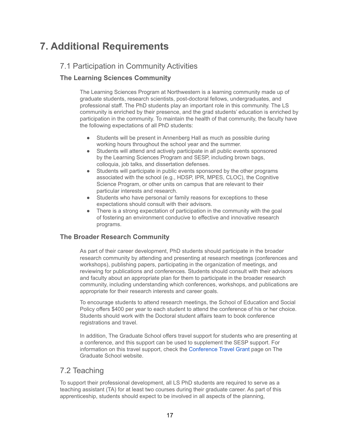## <span id="page-17-0"></span>**7. Additional Requirements**

## 7.1 Participation in Community Activities

### **The Learning Sciences Community**

The Learning Sciences Program at Northwestern is a learning community made up of graduate students, research scientists, post-doctoral fellows, undergraduates, and professional staff. The PhD students play an important role in this community. The LS community is enriched by their presence, and the grad students' education is enriched by participation in the community. To maintain the health of that community, the faculty have the following expectations of all PhD students:

- Students will be present in Annenberg Hall as much as possible during working hours throughout the school year and the summer.
- Students will attend and actively participate in all public events sponsored by the Learning Sciences Program and SESP, including brown bags, colloquia, job talks, and dissertation defenses.
- Students will participate in public events sponsored by the other programs associated with the school (e.g., HDSP, IPR, MPES, CLOC), the Cognitive Science Program, or other units on campus that are relevant to their particular interests and research.
- Students who have personal or family reasons for exceptions to these expectations should consult with their advisors.
- There is a strong expectation of participation in the community with the goal of fostering an environment conducive to effective and innovative research programs.

### **The Broader Research Community**

As part of their career development, PhD students should participate in the broader research community by attending and presenting at research meetings (conferences and workshops), publishing papers, participating in the organization of meetings, and reviewing for publications and conferences. Students should consult with their advisors and faculty about an appropriate plan for them to participate in the broader research community, including understanding which conferences, workshops, and publications are appropriate for their research interests and career goals.

To encourage students to attend research meetings, the School of Education and Social Policy offers \$400 per year to each student to attend the conference of his or her choice. Students should work with the Doctoral student affairs team to book conference registrations and travel.

In addition, The Graduate School offers travel support for students who are presenting at a conference, and this support can be used to supplement the SESP support. For information on this travel support, check the [Conference](http://www.tgs.northwestern.edu/funding/fellowships-and-grants/internal-grants/conference-travel-grant/) Travel Grant page on The Graduate School website.

## 7.2 Teaching

To support their professional development, all LS PhD students are required to serve as a teaching assistant (TA) for at least two courses during their graduate career. As part of this apprenticeship, students should expect to be involved in all aspects of the planning,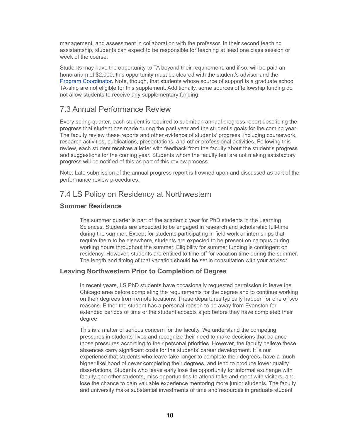management, and assessment in collaboration with the professor. In their second teaching assistantship, students can expect to be responsible for teaching at least one class session or week of the course.

Students may have the opportunity to TA beyond their requirement, and if so, will be paid an honorarium of \$2,000; this opportunity must be cleared with the student's advisor and the Program [Coordinator](mailto:michael-horn@northwestern.edu). Note, though, that students whose source of support is a graduate school TA-ship are not eligible for this supplement. Additionally, some sources of fellowship funding do not allow students to receive any supplementary funding.

### 7.3 Annual Performance Review

Every spring quarter, each student is required to submit an annual progress report describing the progress that student has made during the past year and the student's goals for the coming year. The faculty review these reports and other evidence of students' progress, including coursework, research activities, publications, presentations, and other professional activities. Following this review, each student receives a letter with feedback from the faculty about the student's progress and suggestions for the coming year. Students whom the faculty feel are not making satisfactory progress will be notified of this as part of this review process.

Note: Late submission of the annual progress report is frowned upon and discussed as part of the performance review procedures.

### 7.4 LS Policy on Residency at Northwestern

### **Summer Residence**

The summer quarter is part of the academic year for PhD students in the Learning Sciences. Students are expected to be engaged in research and scholarship full-time during the summer. Except for students participating in field work or internships that require them to be elsewhere, students are expected to be present on campus during working hours throughout the summer. Eligibility for summer funding is contingent on residency. However, students are entitled to time off for vacation time during the summer. The length and timing of that vacation should be set in consultation with your advisor.

### **Leaving Northwestern Prior to Completion of Degree**

In recent years, LS PhD students have occasionally requested permission to leave the Chicago area before completing the requirements for the degree and to continue working on their degrees from remote locations. These departures typically happen for one of two reasons. Either the student has a personal reason to be away from Evanston for extended periods of time or the student accepts a job before they have completed their degree.

This is a matter of serious concern for the faculty. We understand the competing pressures in students' lives and recognize their need to make decisions that balance those pressures according to their personal priorities. However, the faculty believe these absences carry significant costs for the students' career development. It is our experience that students who leave take longer to complete their degrees, have a much higher likelihood of never completing their degrees, and tend to produce lower quality dissertations. Students who leave early lose the opportunity for informal exchange with faculty and other students, miss opportunities to attend talks and meet with visitors, and lose the chance to gain valuable experience mentoring more junior students. The faculty and university make substantial investments of time and resources in graduate student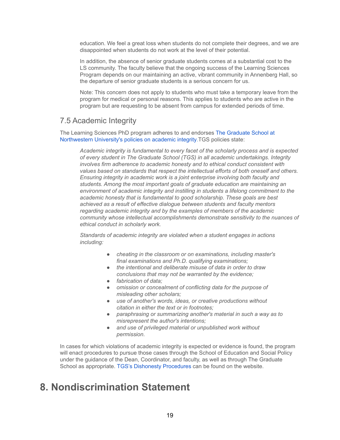education. We feel a great loss when students do not complete their degrees, and we are disappointed when students do not work at the level of their potential.

In addition, the absence of senior graduate students comes at a substantial cost to the LS community. The faculty believe that the ongoing success of the Learning Sciences Program depends on our maintaining an active, vibrant community in Annenberg Hall, so the departure of senior graduate students is a serious concern for us.

Note: This concern does not apply to students who must take a temporary leave from the program for medical or personal reasons. This applies to students who are active in the program but are requesting to be absent from campus for extended periods of time.

### 7.5 Academic Integrity

The Learning Sciences PhD program adheres to and endorses The [Graduate](http://www.tgs.northwestern.edu/about/policies/academic-integrity.html) School at [Northwestern](http://www.tgs.northwestern.edu/about/policies/academic-integrity.html) University's policies on academic integrity.TGS policies state:

*Academic integrity is fundamental to every facet of the scholarly process and is expected of every student in The Graduate School (TGS) in all academic undertakings. Integrity involves firm adherence to academic honesty and to ethical conduct consistent with values based on standards that respect the intellectual efforts of both oneself and others. Ensuring integrity in academic work is a joint enterprise involving both faculty and students. Among the most important goals of graduate education are maintaining an environment of academic integrity and instilling in students a lifelong commitment to the academic honesty that is fundamental to good scholarship. These goals are best achieved as a result of effective dialogue between students and faculty mentors regarding academic integrity and by the examples of members of the academic community whose intellectual accomplishments demonstrate sensitivity to the nuances of ethical conduct in scholarly work.*

*Standards of academic integrity are violated when a student engages in actions including:*

- *● cheating in the classroom or on examinations, including master's final examinations and Ph.D. qualifying examinations;*
- *● the intentional and deliberate misuse of data in order to draw conclusions that may not be warranted by the evidence;*
- *● fabrication of data;*
- *● omission or concealment of conflicting data for the purpose of misleading other scholars;*
- *● use of another's words, ideas, or creative productions without citation in either the text or in footnotes;*
- *● paraphrasing or summarizing another's material in such a way as to misrepresent the author's intentions;*
- *and use of privileged material or unpublished work without permission.*

In cases for which violations of academic integrity is expected or evidence is found, the program will enact procedures to pursue those cases through the School of Education and Social Policy under the guidance of the Dean, Coordinator, and faculty, as well as through The Graduate School as appropriate. TGS's Dishonesty [Procedures](http://www.tgs.northwestern.edu/about/policies/academic-integrity.html) can be found on the website.

## **8. Nondiscrimination Statement**